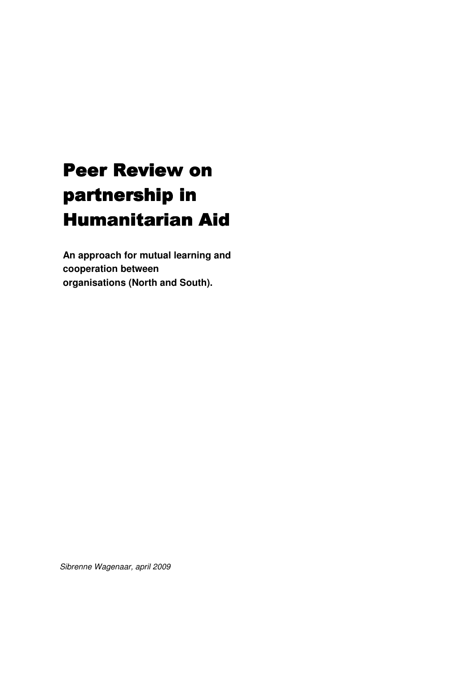# Peer Review on partnership in Humanitarian Aid

**An approach for mutual learning and cooperation between organisations (North and South).** 

Sibrenne Wagenaar, april 2009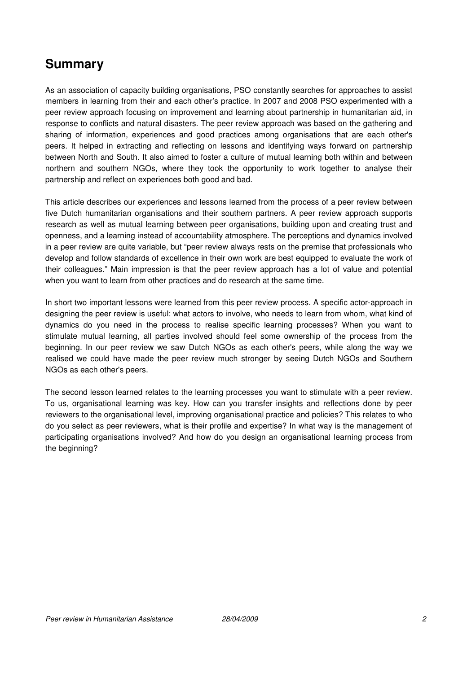# **Summary**

As an association of capacity building organisations, PSO constantly searches for approaches to assist members in learning from their and each other's practice. In 2007 and 2008 PSO experimented with a peer review approach focusing on improvement and learning about partnership in humanitarian aid, in response to conflicts and natural disasters. The peer review approach was based on the gathering and sharing of information, experiences and good practices among organisations that are each other's peers. It helped in extracting and reflecting on lessons and identifying ways forward on partnership between North and South. It also aimed to foster a culture of mutual learning both within and between northern and southern NGOs, where they took the opportunity to work together to analyse their partnership and reflect on experiences both good and bad.

This article describes our experiences and lessons learned from the process of a peer review between five Dutch humanitarian organisations and their southern partners. A peer review approach supports research as well as mutual learning between peer organisations, building upon and creating trust and openness, and a learning instead of accountability atmosphere. The perceptions and dynamics involved in a peer review are quite variable, but "peer review always rests on the premise that professionals who develop and follow standards of excellence in their own work are best equipped to evaluate the work of their colleagues." Main impression is that the peer review approach has a lot of value and potential when you want to learn from other practices and do research at the same time.

In short two important lessons were learned from this peer review process. A specific actor-approach in designing the peer review is useful: what actors to involve, who needs to learn from whom, what kind of dynamics do you need in the process to realise specific learning processes? When you want to stimulate mutual learning, all parties involved should feel some ownership of the process from the beginning. In our peer review we saw Dutch NGOs as each other's peers, while along the way we realised we could have made the peer review much stronger by seeing Dutch NGOs and Southern NGOs as each other's peers.

The second lesson learned relates to the learning processes you want to stimulate with a peer review. To us, organisational learning was key. How can you transfer insights and reflections done by peer reviewers to the organisational level, improving organisational practice and policies? This relates to who do you select as peer reviewers, what is their profile and expertise? In what way is the management of participating organisations involved? And how do you design an organisational learning process from the beginning?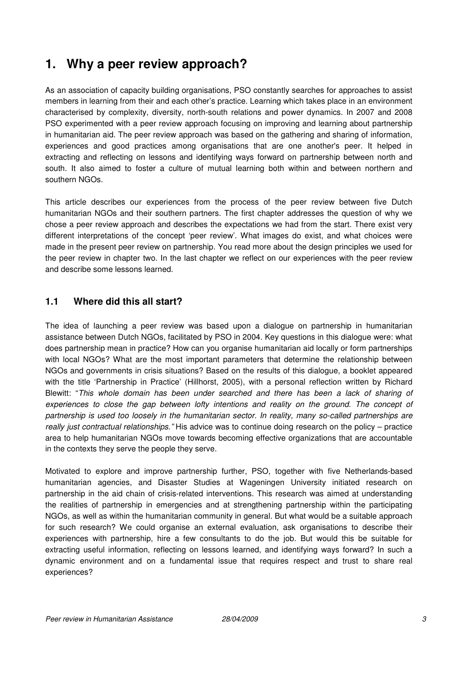# **1. Why a peer review approach?**

As an association of capacity building organisations, PSO constantly searches for approaches to assist members in learning from their and each other's practice. Learning which takes place in an environment characterised by complexity, diversity, north-south relations and power dynamics. In 2007 and 2008 PSO experimented with a peer review approach focusing on improving and learning about partnership in humanitarian aid. The peer review approach was based on the gathering and sharing of information, experiences and good practices among organisations that are one another's peer. It helped in extracting and reflecting on lessons and identifying ways forward on partnership between north and south. It also aimed to foster a culture of mutual learning both within and between northern and southern NGOs.

This article describes our experiences from the process of the peer review between five Dutch humanitarian NGOs and their southern partners. The first chapter addresses the question of why we chose a peer review approach and describes the expectations we had from the start. There exist very different interpretations of the concept 'peer review'. What images do exist, and what choices were made in the present peer review on partnership. You read more about the design principles we used for the peer review in chapter two. In the last chapter we reflect on our experiences with the peer review and describe some lessons learned.

# **1.1 Where did this all start?**

The idea of launching a peer review was based upon a dialogue on partnership in humanitarian assistance between Dutch NGOs, facilitated by PSO in 2004. Key questions in this dialogue were: what does partnership mean in practice? How can you organise humanitarian aid locally or form partnerships with local NGOs? What are the most important parameters that determine the relationship between NGOs and governments in crisis situations? Based on the results of this dialogue, a booklet appeared with the title 'Partnership in Practice' (Hillhorst, 2005), with a personal reflection written by Richard Blewitt: "This whole domain has been under searched and there has been a lack of sharing of experiences to close the gap between lofty intentions and reality on the ground. The concept of partnership is used too loosely in the humanitarian sector. In reality, many so-called partnerships are really just contractual relationships." His advice was to continue doing research on the policy – practice area to help humanitarian NGOs move towards becoming effective organizations that are accountable in the contexts they serve the people they serve.

Motivated to explore and improve partnership further, PSO, together with five Netherlands-based humanitarian agencies, and Disaster Studies at Wageningen University initiated research on partnership in the aid chain of crisis-related interventions. This research was aimed at understanding the realities of partnership in emergencies and at strengthening partnership within the participating NGOs, as well as within the humanitarian community in general. But what would be a suitable approach for such research? We could organise an external evaluation, ask organisations to describe their experiences with partnership, hire a few consultants to do the job. But would this be suitable for extracting useful information, reflecting on lessons learned, and identifying ways forward? In such a dynamic environment and on a fundamental issue that requires respect and trust to share real experiences?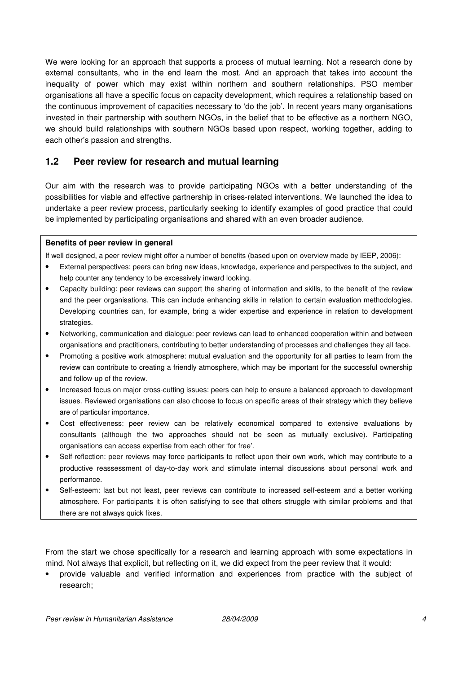We were looking for an approach that supports a process of mutual learning. Not a research done by external consultants, who in the end learn the most. And an approach that takes into account the inequality of power which may exist within northern and southern relationships. PSO member organisations all have a specific focus on capacity development, which requires a relationship based on the continuous improvement of capacities necessary to 'do the job'. In recent years many organisations invested in their partnership with southern NGOs, in the belief that to be effective as a northern NGO, we should build relationships with southern NGOs based upon respect, working together, adding to each other's passion and strengths.

### **1.2 Peer review for research and mutual learning**

Our aim with the research was to provide participating NGOs with a better understanding of the possibilities for viable and effective partnership in crises-related interventions. We launched the idea to undertake a peer review process, particularly seeking to identify examples of good practice that could be implemented by participating organisations and shared with an even broader audience.

#### **Benefits of peer review in general**

If well designed, a peer review might offer a number of benefits (based upon on overview made by IEEP, 2006):

- External perspectives: peers can bring new ideas, knowledge, experience and perspectives to the subject, and help counter any tendency to be excessively inward looking.
- Capacity building: peer reviews can support the sharing of information and skills, to the benefit of the review and the peer organisations. This can include enhancing skills in relation to certain evaluation methodologies. Developing countries can, for example, bring a wider expertise and experience in relation to development strategies.
- Networking, communication and dialogue: peer reviews can lead to enhanced cooperation within and between organisations and practitioners, contributing to better understanding of processes and challenges they all face.
- Promoting a positive work atmosphere: mutual evaluation and the opportunity for all parties to learn from the review can contribute to creating a friendly atmosphere, which may be important for the successful ownership and follow-up of the review.
- Increased focus on major cross-cutting issues: peers can help to ensure a balanced approach to development issues. Reviewed organisations can also choose to focus on specific areas of their strategy which they believe are of particular importance.
- Cost effectiveness: peer review can be relatively economical compared to extensive evaluations by consultants (although the two approaches should not be seen as mutually exclusive). Participating organisations can access expertise from each other 'for free'.
- Self-reflection: peer reviews may force participants to reflect upon their own work, which may contribute to a productive reassessment of day-to-day work and stimulate internal discussions about personal work and performance.
- Self-esteem: last but not least, peer reviews can contribute to increased self-esteem and a better working atmosphere. For participants it is often satisfying to see that others struggle with similar problems and that there are not always quick fixes.

From the start we chose specifically for a research and learning approach with some expectations in mind. Not always that explicit, but reflecting on it, we did expect from the peer review that it would:

• provide valuable and verified information and experiences from practice with the subject of research;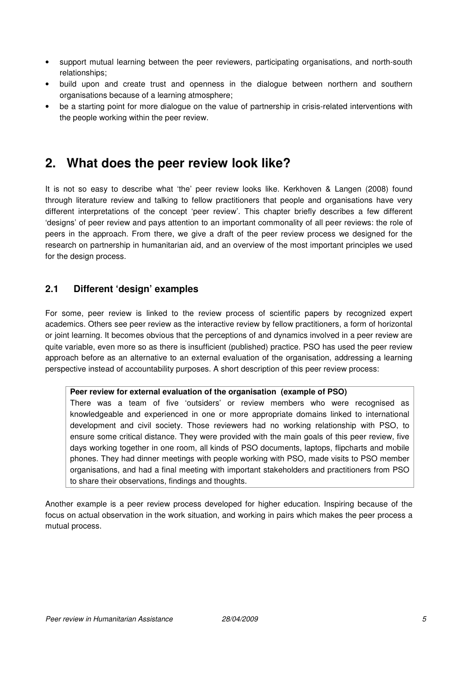- support mutual learning between the peer reviewers, participating organisations, and north-south relationships;
- build upon and create trust and openness in the dialogue between northern and southern organisations because of a learning atmosphere;
- be a starting point for more dialogue on the value of partnership in crisis-related interventions with the people working within the peer review.

# **2. What does the peer review look like?**

It is not so easy to describe what 'the' peer review looks like. Kerkhoven & Langen (2008) found through literature review and talking to fellow practitioners that people and organisations have very different interpretations of the concept 'peer review'. This chapter briefly describes a few different 'designs' of peer review and pays attention to an important commonality of all peer reviews: the role of peers in the approach. From there, we give a draft of the peer review process we designed for the research on partnership in humanitarian aid, and an overview of the most important principles we used for the design process.

# **2.1 Different 'design' examples**

For some, peer review is linked to the review process of scientific papers by recognized expert academics. Others see peer review as the interactive review by fellow practitioners, a form of horizontal or joint learning. It becomes obvious that the perceptions of and dynamics involved in a peer review are quite variable, even more so as there is insufficient (published) practice. PSO has used the peer review approach before as an alternative to an external evaluation of the organisation, addressing a learning perspective instead of accountability purposes. A short description of this peer review process:

#### **Peer review for external evaluation of the organisation (example of PSO)**

There was a team of five 'outsiders' or review members who were recognised as knowledgeable and experienced in one or more appropriate domains linked to international development and civil society. Those reviewers had no working relationship with PSO, to ensure some critical distance. They were provided with the main goals of this peer review, five days working together in one room, all kinds of PSO documents, laptops, flipcharts and mobile phones. They had dinner meetings with people working with PSO, made visits to PSO member organisations, and had a final meeting with important stakeholders and practitioners from PSO to share their observations, findings and thoughts.

Another example is a peer review process developed for higher education. Inspiring because of the focus on actual observation in the work situation, and working in pairs which makes the peer process a mutual process.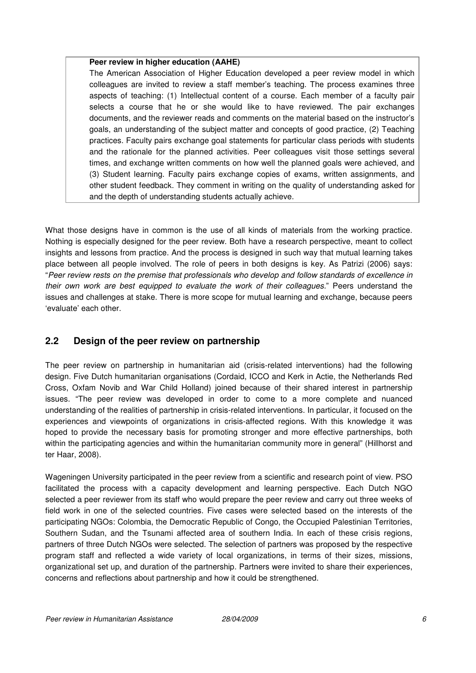#### **Peer review in higher education (AAHE)**

The American Association of Higher Education developed a peer review model in which colleagues are invited to review a staff member's teaching. The process examines three aspects of teaching: (1) Intellectual content of a course. Each member of a faculty pair selects a course that he or she would like to have reviewed. The pair exchanges documents, and the reviewer reads and comments on the material based on the instructor's goals, an understanding of the subject matter and concepts of good practice, (2) Teaching practices. Faculty pairs exchange goal statements for particular class periods with students and the rationale for the planned activities. Peer colleagues visit those settings several times, and exchange written comments on how well the planned goals were achieved, and (3) Student learning. Faculty pairs exchange copies of exams, written assignments, and other student feedback. They comment in writing on the quality of understanding asked for and the depth of understanding students actually achieve.

What those designs have in common is the use of all kinds of materials from the working practice. Nothing is especially designed for the peer review. Both have a research perspective, meant to collect insights and lessons from practice. And the process is designed in such way that mutual learning takes place between all people involved. The role of peers in both designs is key. As Patrizi (2006) says: "Peer review rests on the premise that professionals who develop and follow standards of excellence in their own work are best equipped to evaluate the work of their colleagues." Peers understand the issues and challenges at stake. There is more scope for mutual learning and exchange, because peers 'evaluate' each other.

# **2.2 Design of the peer review on partnership**

The peer review on partnership in humanitarian aid (crisis-related interventions) had the following design. Five Dutch humanitarian organisations (Cordaid, ICCO and Kerk in Actie, the Netherlands Red Cross, Oxfam Novib and War Child Holland) joined because of their shared interest in partnership issues. "The peer review was developed in order to come to a more complete and nuanced understanding of the realities of partnership in crisis-related interventions. In particular, it focused on the experiences and viewpoints of organizations in crisis-affected regions. With this knowledge it was hoped to provide the necessary basis for promoting stronger and more effective partnerships, both within the participating agencies and within the humanitarian community more in general" (Hillhorst and ter Haar, 2008).

Wageningen University participated in the peer review from a scientific and research point of view. PSO facilitated the process with a capacity development and learning perspective. Each Dutch NGO selected a peer reviewer from its staff who would prepare the peer review and carry out three weeks of field work in one of the selected countries. Five cases were selected based on the interests of the participating NGOs: Colombia, the Democratic Republic of Congo, the Occupied Palestinian Territories, Southern Sudan, and the Tsunami affected area of southern India. In each of these crisis regions, partners of three Dutch NGOs were selected. The selection of partners was proposed by the respective program staff and reflected a wide variety of local organizations, in terms of their sizes, missions, organizational set up, and duration of the partnership. Partners were invited to share their experiences, concerns and reflections about partnership and how it could be strengthened.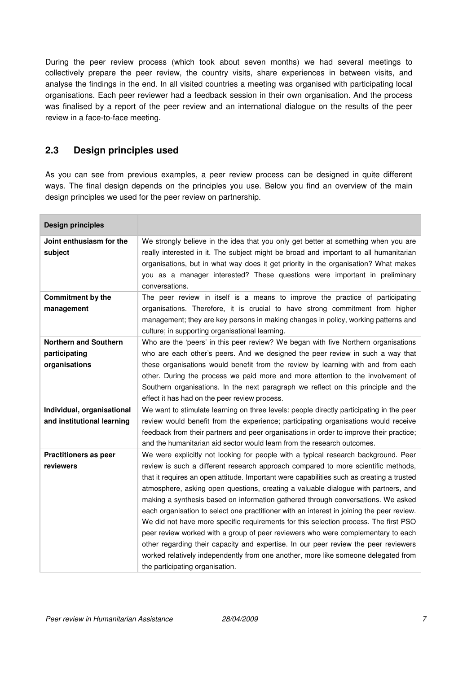During the peer review process (which took about seven months) we had several meetings to collectively prepare the peer review, the country visits, share experiences in between visits, and analyse the findings in the end. In all visited countries a meeting was organised with participating local organisations. Each peer reviewer had a feedback session in their own organisation. And the process was finalised by a report of the peer review and an international dialogue on the results of the peer review in a face-to-face meeting.

### **2.3 Design principles used**

As you can see from previous examples, a peer review process can be designed in quite different ways. The final design depends on the principles you use. Below you find an overview of the main design principles we used for the peer review on partnership.

| <b>Design principles</b>                                       |                                                                                                                                                                                                                                                                                                                                                                                                                                                                                                                                                                                                                                                                                                                                                                                                                                                                                                                                         |
|----------------------------------------------------------------|-----------------------------------------------------------------------------------------------------------------------------------------------------------------------------------------------------------------------------------------------------------------------------------------------------------------------------------------------------------------------------------------------------------------------------------------------------------------------------------------------------------------------------------------------------------------------------------------------------------------------------------------------------------------------------------------------------------------------------------------------------------------------------------------------------------------------------------------------------------------------------------------------------------------------------------------|
| Joint enthusiasm for the<br>subject                            | We strongly believe in the idea that you only get better at something when you are<br>really interested in it. The subject might be broad and important to all humanitarian<br>organisations, but in what way does it get priority in the organisation? What makes<br>you as a manager interested? These questions were important in preliminary<br>conversations.                                                                                                                                                                                                                                                                                                                                                                                                                                                                                                                                                                      |
| <b>Commitment by the</b><br>management                         | The peer review in itself is a means to improve the practice of participating<br>organisations. Therefore, it is crucial to have strong commitment from higher<br>management; they are key persons in making changes in policy, working patterns and<br>culture; in supporting organisational learning.                                                                                                                                                                                                                                                                                                                                                                                                                                                                                                                                                                                                                                 |
| <b>Northern and Southern</b><br>participating<br>organisations | Who are the 'peers' in this peer review? We began with five Northern organisations<br>who are each other's peers. And we designed the peer review in such a way that<br>these organisations would benefit from the review by learning with and from each<br>other. During the process we paid more and more attention to the involvement of<br>Southern organisations. In the next paragraph we reflect on this principle and the<br>effect it has had on the peer review process.                                                                                                                                                                                                                                                                                                                                                                                                                                                      |
| Individual, organisational<br>and institutional learning       | We want to stimulate learning on three levels: people directly participating in the peer<br>review would benefit from the experience; participating organisations would receive<br>feedback from their partners and peer organisations in order to improve their practice;<br>and the humanitarian aid sector would learn from the research outcomes.                                                                                                                                                                                                                                                                                                                                                                                                                                                                                                                                                                                   |
| <b>Practitioners as peer</b><br>reviewers                      | We were explicitly not looking for people with a typical research background. Peer<br>review is such a different research approach compared to more scientific methods,<br>that it requires an open attitude. Important were capabilities such as creating a trusted<br>atmosphere, asking open questions, creating a valuable dialogue with partners, and<br>making a synthesis based on information gathered through conversations. We asked<br>each organisation to select one practitioner with an interest in joining the peer review.<br>We did not have more specific requirements for this selection process. The first PSO<br>peer review worked with a group of peer reviewers who were complementary to each<br>other regarding their capacity and expertise. In our peer review the peer reviewers<br>worked relatively independently from one another, more like someone delegated from<br>the participating organisation. |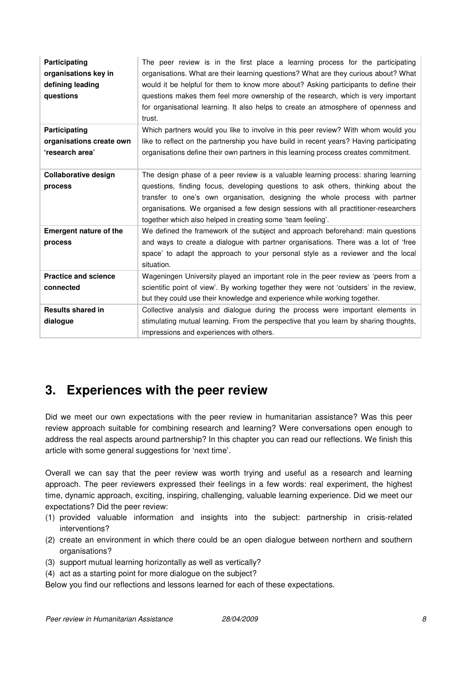| Participating<br>organisations key in<br>defining leading<br>questions | The peer review is in the first place a learning process for the participating<br>organisations. What are their learning questions? What are they curious about? What<br>would it be helpful for them to know more about? Asking participants to define their<br>questions makes them feel more ownership of the research, which is very important<br>for organisational learning. It also helps to create an atmosphere of openness and<br>trust. |
|------------------------------------------------------------------------|----------------------------------------------------------------------------------------------------------------------------------------------------------------------------------------------------------------------------------------------------------------------------------------------------------------------------------------------------------------------------------------------------------------------------------------------------|
| Participating<br>organisations create own<br>'research area'           | Which partners would you like to involve in this peer review? With whom would you<br>like to reflect on the partnership you have build in recent years? Having participating<br>organisations define their own partners in this learning process creates commitment.                                                                                                                                                                               |
| <b>Collaborative design</b><br>process                                 | The design phase of a peer review is a valuable learning process: sharing learning<br>questions, finding focus, developing questions to ask others, thinking about the<br>transfer to one's own organisation, designing the whole process with partner<br>organisations. We organised a few design sessions with all practitioner-researchers<br>together which also helped in creating some 'team feeling'.                                       |
| <b>Emergent nature of the</b><br>process                               | We defined the framework of the subject and approach beforehand: main questions<br>and ways to create a dialogue with partner organisations. There was a lot of 'free<br>space' to adapt the approach to your personal style as a reviewer and the local<br>situation.                                                                                                                                                                             |
| <b>Practice and science</b><br>connected                               | Wageningen University played an important role in the peer review as 'peers from a<br>scientific point of view'. By working together they were not 'outsiders' in the review,<br>but they could use their knowledge and experience while working together.                                                                                                                                                                                         |
| <b>Results shared in</b><br>dialogue                                   | Collective analysis and dialogue during the process were important elements in<br>stimulating mutual learning. From the perspective that you learn by sharing thoughts,<br>impressions and experiences with others.                                                                                                                                                                                                                                |

# **3. Experiences with the peer review**

Did we meet our own expectations with the peer review in humanitarian assistance? Was this peer review approach suitable for combining research and learning? Were conversations open enough to address the real aspects around partnership? In this chapter you can read our reflections. We finish this article with some general suggestions for 'next time'.

Overall we can say that the peer review was worth trying and useful as a research and learning approach. The peer reviewers expressed their feelings in a few words: real experiment, the highest time, dynamic approach, exciting, inspiring, challenging, valuable learning experience. Did we meet our expectations? Did the peer review:

- (1) provided valuable information and insights into the subject: partnership in crisis-related interventions?
- (2) create an environment in which there could be an open dialogue between northern and southern organisations?
- (3) support mutual learning horizontally as well as vertically?
- (4) act as a starting point for more dialogue on the subject?

Below you find our reflections and lessons learned for each of these expectations.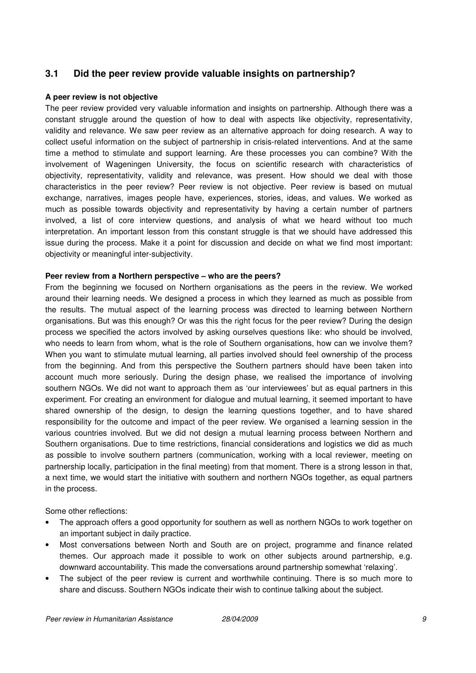### **3.1 Did the peer review provide valuable insights on partnership?**

#### **A peer review is not objective**

The peer review provided very valuable information and insights on partnership. Although there was a constant struggle around the question of how to deal with aspects like objectivity, representativity, validity and relevance. We saw peer review as an alternative approach for doing research. A way to collect useful information on the subject of partnership in crisis-related interventions. And at the same time a method to stimulate and support learning. Are these processes you can combine? With the involvement of Wageningen University, the focus on scientific research with characteristics of objectivity, representativity, validity and relevance, was present. How should we deal with those characteristics in the peer review? Peer review is not objective. Peer review is based on mutual exchange, narratives, images people have, experiences, stories, ideas, and values. We worked as much as possible towards objectivity and representativity by having a certain number of partners involved, a list of core interview questions, and analysis of what we heard without too much interpretation. An important lesson from this constant struggle is that we should have addressed this issue during the process. Make it a point for discussion and decide on what we find most important: objectivity or meaningful inter-subjectivity.

#### **Peer review from a Northern perspective – who are the peers?**

From the beginning we focused on Northern organisations as the peers in the review. We worked around their learning needs. We designed a process in which they learned as much as possible from the results. The mutual aspect of the learning process was directed to learning between Northern organisations. But was this enough? Or was this the right focus for the peer review? During the design process we specified the actors involved by asking ourselves questions like: who should be involved, who needs to learn from whom, what is the role of Southern organisations, how can we involve them? When you want to stimulate mutual learning, all parties involved should feel ownership of the process from the beginning. And from this perspective the Southern partners should have been taken into account much more seriously. During the design phase, we realised the importance of involving southern NGOs. We did not want to approach them as 'our interviewees' but as equal partners in this experiment. For creating an environment for dialogue and mutual learning, it seemed important to have shared ownership of the design, to design the learning questions together, and to have shared responsibility for the outcome and impact of the peer review. We organised a learning session in the various countries involved. But we did not design a mutual learning process between Northern and Southern organisations. Due to time restrictions, financial considerations and logistics we did as much as possible to involve southern partners (communication, working with a local reviewer, meeting on partnership locally, participation in the final meeting) from that moment. There is a strong lesson in that, a next time, we would start the initiative with southern and northern NGOs together, as equal partners in the process.

Some other reflections:

- The approach offers a good opportunity for southern as well as northern NGOs to work together on an important subject in daily practice.
- Most conversations between North and South are on project, programme and finance related themes. Our approach made it possible to work on other subjects around partnership, e.g. downward accountability. This made the conversations around partnership somewhat 'relaxing'.
- The subject of the peer review is current and worthwhile continuing. There is so much more to share and discuss. Southern NGOs indicate their wish to continue talking about the subject.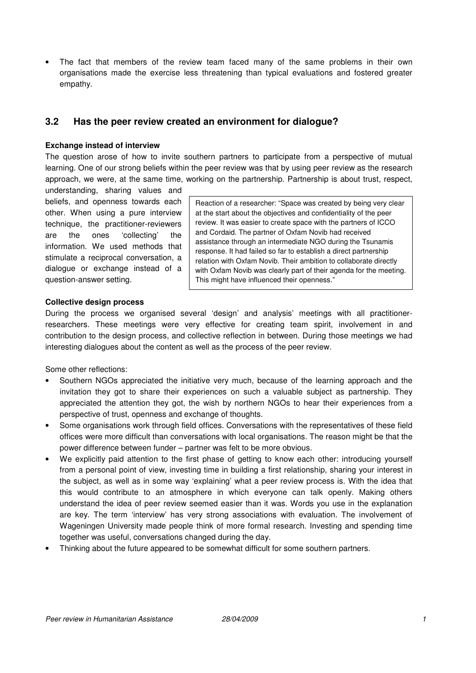The fact that members of the review team faced many of the same problems in their own organisations made the exercise less threatening than typical evaluations and fostered greater empathy.

### **3.2 Has the peer review created an environment for dialogue?**

#### **Exchange instead of interview**

The question arose of how to invite southern partners to participate from a perspective of mutual learning. One of our strong beliefs within the peer review was that by using peer review as the research approach, we were, at the same time, working on the partnership. Partnership is about trust, respect,

understanding, sharing values and beliefs, and openness towards each other. When using a pure interview technique, the practitioner-reviewers are the ones 'collecting' the information. We used methods that stimulate a reciprocal conversation, a dialogue or exchange instead of a question-answer setting.

Reaction of a researcher: "Space was created by being very clear at the start about the objectives and confidentiality of the peer review. It was easier to create space with the partners of ICCO and Cordaid. The partner of Oxfam Novib had received assistance through an intermediate NGO during the Tsunamis response. It had failed so far to establish a direct partnership relation with Oxfam Novib. Their ambition to collaborate directly with Oxfam Novib was clearly part of their agenda for the meeting. This might have influenced their openness."

#### **Collective design process**

During the process we organised several 'design' and analysis' meetings with all practitionerresearchers. These meetings were very effective for creating team spirit, involvement in and contribution to the design process, and collective reflection in between. During those meetings we had interesting dialogues about the content as well as the process of the peer review.

Some other reflections:

- Southern NGOs appreciated the initiative very much, because of the learning approach and the invitation they got to share their experiences on such a valuable subject as partnership. They appreciated the attention they got, the wish by northern NGOs to hear their experiences from a perspective of trust, openness and exchange of thoughts.
- Some organisations work through field offices. Conversations with the representatives of these field offices were more difficult than conversations with local organisations. The reason might be that the power difference between funder – partner was felt to be more obvious.
- We explicitly paid attention to the first phase of getting to know each other: introducing yourself from a personal point of view, investing time in building a first relationship, sharing your interest in the subject, as well as in some way 'explaining' what a peer review process is. With the idea that this would contribute to an atmosphere in which everyone can talk openly. Making others understand the idea of peer review seemed easier than it was. Words you use in the explanation are key. The term 'interview' has very strong associations with evaluation. The involvement of Wageningen University made people think of more formal research. Investing and spending time together was useful, conversations changed during the day.
- Thinking about the future appeared to be somewhat difficult for some southern partners.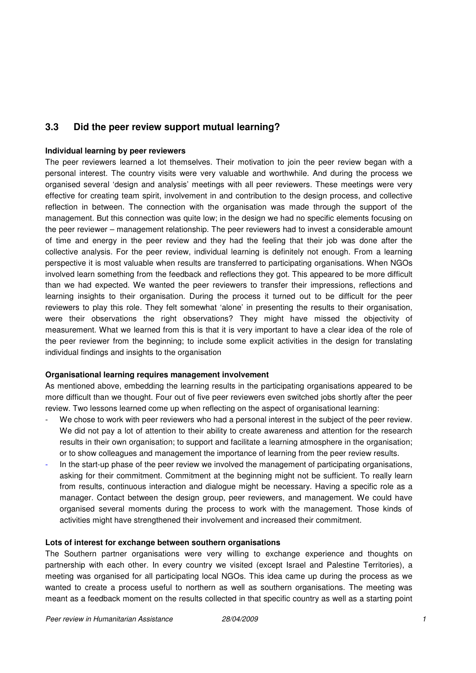# **3.3 Did the peer review support mutual learning?**

#### **Individual learning by peer reviewers**

The peer reviewers learned a lot themselves. Their motivation to join the peer review began with a personal interest. The country visits were very valuable and worthwhile. And during the process we organised several 'design and analysis' meetings with all peer reviewers. These meetings were very effective for creating team spirit, involvement in and contribution to the design process, and collective reflection in between. The connection with the organisation was made through the support of the management. But this connection was quite low; in the design we had no specific elements focusing on the peer reviewer – management relationship. The peer reviewers had to invest a considerable amount of time and energy in the peer review and they had the feeling that their job was done after the collective analysis. For the peer review, individual learning is definitely not enough. From a learning perspective it is most valuable when results are transferred to participating organisations. When NGOs involved learn something from the feedback and reflections they got. This appeared to be more difficult than we had expected. We wanted the peer reviewers to transfer their impressions, reflections and learning insights to their organisation. During the process it turned out to be difficult for the peer reviewers to play this role. They felt somewhat 'alone' in presenting the results to their organisation, were their observations the right observations? They might have missed the objectivity of measurement. What we learned from this is that it is very important to have a clear idea of the role of the peer reviewer from the beginning; to include some explicit activities in the design for translating individual findings and insights to the organisation

#### **Organisational learning requires management involvement**

As mentioned above, embedding the learning results in the participating organisations appeared to be more difficult than we thought. Four out of five peer reviewers even switched jobs shortly after the peer review. Two lessons learned come up when reflecting on the aspect of organisational learning:

- We chose to work with peer reviewers who had a personal interest in the subject of the peer review. We did not pay a lot of attention to their ability to create awareness and attention for the research results in their own organisation; to support and facilitate a learning atmosphere in the organisation; or to show colleagues and management the importance of learning from the peer review results.
- In the start-up phase of the peer review we involved the management of participating organisations, asking for their commitment. Commitment at the beginning might not be sufficient. To really learn from results, continuous interaction and dialogue might be necessary. Having a specific role as a manager. Contact between the design group, peer reviewers, and management. We could have organised several moments during the process to work with the management. Those kinds of activities might have strengthened their involvement and increased their commitment.

#### **Lots of interest for exchange between southern organisations**

The Southern partner organisations were very willing to exchange experience and thoughts on partnership with each other. In every country we visited (except Israel and Palestine Territories), a meeting was organised for all participating local NGOs. This idea came up during the process as we wanted to create a process useful to northern as well as southern organisations. The meeting was meant as a feedback moment on the results collected in that specific country as well as a starting point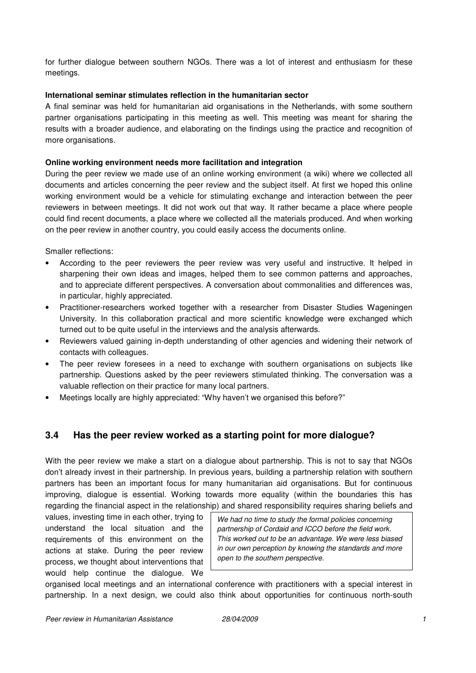for further dialogue between southern NGOs. There was a lot of interest and enthusiasm for these meetings.

#### **International seminar stimulates reflection in the humanitarian sector**

A final seminar was held for humanitarian aid organisations in the Netherlands, with some southern partner organisations participating in this meeting as well. This meeting was meant for sharing the results with a broader audience, and elaborating on the findings using the practice and recognition of more organisations.

#### **Online working environment needs more facilitation and integration**

During the peer review we made use of an online working environment (a wiki) where we collected all documents and articles concerning the peer review and the subject itself. At first we hoped this online working environment would be a vehicle for stimulating exchange and interaction between the peer reviewers in between meetings. It did not work out that way. It rather became a place where people could find recent documents, a place where we collected all the materials produced. And when working on the peer review in another country, you could easily access the documents online.

Smaller reflections:

- According to the peer reviewers the peer review was very useful and instructive. It helped in sharpening their own ideas and images, helped them to see common patterns and approaches, and to appreciate different perspectives. A conversation about commonalities and differences was, in particular, highly appreciated.
- Practitioner-researchers worked together with a researcher from Disaster Studies Wageningen University. In this collaboration practical and more scientific knowledge were exchanged which turned out to be quite useful in the interviews and the analysis afterwards.
- Reviewers valued gaining in-depth understanding of other agencies and widening their network of contacts with colleagues.
- The peer review foresees in a need to exchange with southern organisations on subjects like partnership. Questions asked by the peer reviewers stimulated thinking. The conversation was a valuable reflection on their practice for many local partners.
- Meetings locally are highly appreciated: "Why haven't we organised this before?"

### **3.4 Has the peer review worked as a starting point for more dialogue?**

With the peer review we make a start on a dialogue about partnership. This is not to say that NGOs don't already invest in their partnership. In previous years, building a partnership relation with southern partners has been an important focus for many humanitarian aid organisations. But for continuous improving, dialogue is essential. Working towards more equality (within the boundaries this has regarding the financial aspect in the relationship) and shared responsibility requires sharing beliefs and

values, investing time in each other, trying to understand the local situation and the requirements of this environment on the actions at stake. During the peer review process, we thought about interventions that would help continue the dialogue. We

We had no time to study the formal policies concerning partnership of Cordaid and ICCO before the field work. This worked out to be an advantage. We were less biased in our own perception by knowing the standards and more open to the southern perspective.

organised local meetings and an international conference with practitioners with a special interest in partnership. In a next design, we could also think about opportunities for continuous north-south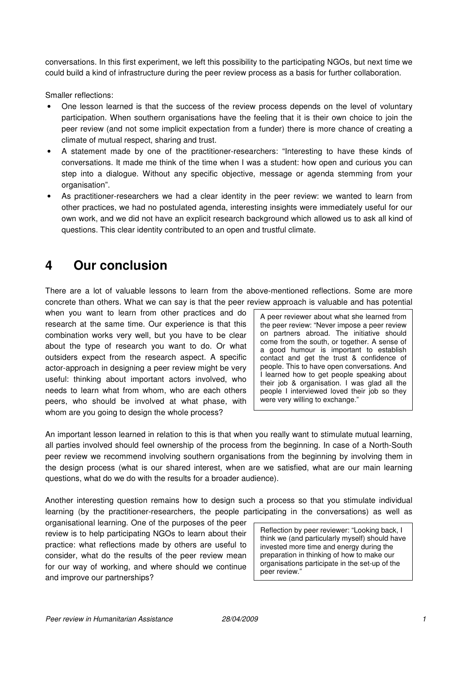conversations. In this first experiment, we left this possibility to the participating NGOs, but next time we could build a kind of infrastructure during the peer review process as a basis for further collaboration.

Smaller reflections:

- One lesson learned is that the success of the review process depends on the level of voluntary participation. When southern organisations have the feeling that it is their own choice to join the peer review (and not some implicit expectation from a funder) there is more chance of creating a climate of mutual respect, sharing and trust.
- A statement made by one of the practitioner-researchers: "Interesting to have these kinds of conversations. It made me think of the time when I was a student: how open and curious you can step into a dialogue. Without any specific objective, message or agenda stemming from your organisation".
- As practitioner-researchers we had a clear identity in the peer review: we wanted to learn from other practices, we had no postulated agenda, interesting insights were immediately useful for our own work, and we did not have an explicit research background which allowed us to ask all kind of questions. This clear identity contributed to an open and trustful climate.

# **4 Our conclusion**

There are a lot of valuable lessons to learn from the above-mentioned reflections. Some are more concrete than others. What we can say is that the peer review approach is valuable and has potential

when you want to learn from other practices and do research at the same time. Our experience is that this combination works very well, but you have to be clear about the type of research you want to do. Or what outsiders expect from the research aspect. A specific actor-approach in designing a peer review might be very useful: thinking about important actors involved, who needs to learn what from whom, who are each others peers, who should be involved at what phase, with whom are you going to design the whole process?

A peer reviewer about what she learned from the peer review: "Never impose a peer review on partners abroad. The initiative should come from the south, or together. A sense of a good humour is important to establish contact and get the trust & confidence of people. This to have open conversations. And I learned how to get people speaking about their job & organisation. I was glad all the people I interviewed loved their job so they were very willing to exchange."

An important lesson learned in relation to this is that when you really want to stimulate mutual learning, all parties involved should feel ownership of the process from the beginning. In case of a North-South peer review we recommend involving southern organisations from the beginning by involving them in the design process (what is our shared interest, when are we satisfied, what are our main learning questions, what do we do with the results for a broader audience).

Another interesting question remains how to design such a process so that you stimulate individual learning (by the practitioner-researchers, the people participating in the conversations) as well as

organisational learning. One of the purposes of the peer review is to help participating NGOs to learn about their practice: what reflections made by others are useful to consider, what do the results of the peer review mean for our way of working, and where should we continue and improve our partnerships?

Reflection by peer reviewer: "Looking back, I think we (and particularly myself) should have invested more time and energy during the preparation in thinking of how to make our organisations participate in the set-up of the peer review."